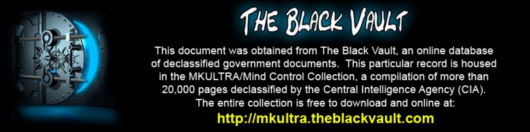

This document was obtained from The Black Vault, an online database of declassified government documents. This particular record is housed in the MKULTRA/Mind Control Collection, a compilation of more than 20,000 pages declassified by the Central Intelligence Agency (CIA). The entire collection is free to download and online at: http://mkultra.theblackvault.com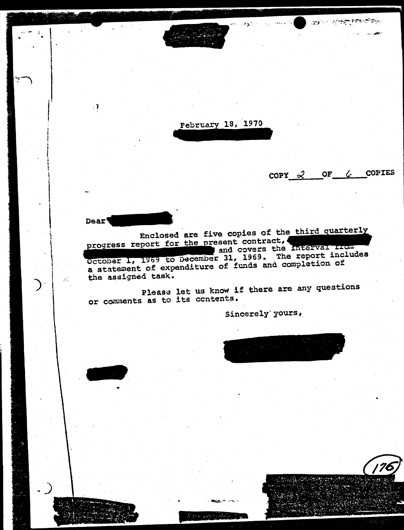a serikal sie t  $\mathcal{A}$ February 18, 1970 OF & COPIES  $COPY = 2$ **Dear** Enclosed are five copies of the third quarterly progress report for the present contract, and covers the interval from October 1, 1969 to December 31, 1969. The report includes a statement of expenditure of funds and completion of the assigned task.

Please let us know if there are any questions or comments as to its contents.

 $2 \gamma_{\rm eff}$ 

Sincerely' yours,



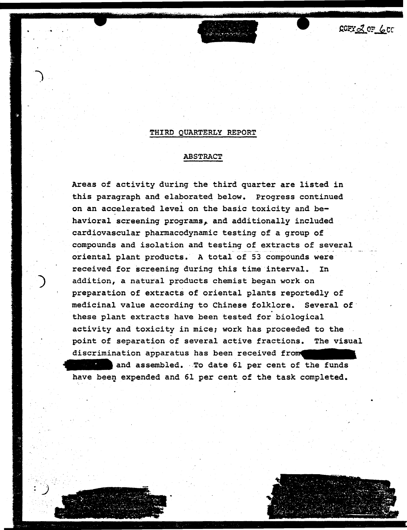$COPY_2Q_0F_6CC$ 

## THIRD QUARTERLY REPORT

# ABSTRACT

Areas of activity during the third quarter are listed *in*  this paragraph and elaborated below. Progress continued on an accelerated level on the basic toxicity and behavioral screening programs, and additionally included cardiovascular pharmacodynamic testing of a group of compounds and isolation and testing of extracts of several oriental plant products. A total of 53 compounds were received for screening during this time interval. In addition, a natural products chemist began work on preparation of extracts of oriental plants reportedly of medicinal value according to Chinese folklore. Several of<br>these plant extracts have been tested for biological activity and toxicity *in* mice; work has proceeded to the point of separation of several active fractions. The visual discrimination apparatus has been received from and assembled. · To date 61 per cent of the funds have been expended and 61 per cent of the task completed.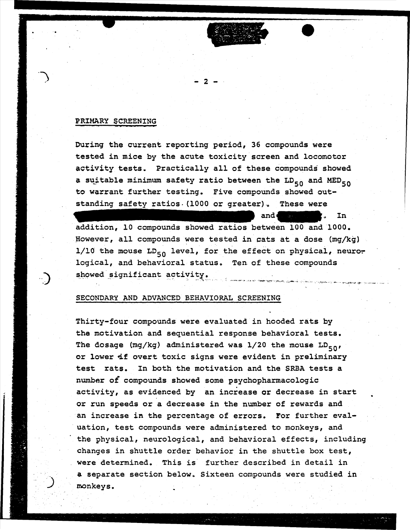### PRIMARY SCREENING

·-.)

During the current reporting period, 36 compounds were tested in mice by the acute toxicity screen and locomotor activity tests. Practically all of these compounds showed a suitable minimum safety ratio between the  $LD_{50}$  and MED<sub>50</sub> to warrant further testing. Five compounds showed outstanding safety ratios. (1000 or greater). These were

- 2 -

and **In** In addition, 10 compounds showed ratios between 100 and 1000. However, all compounds were tested in cats at a dose (mg/kg) 1/10 the mouse  $LD_{50}$  level, for the effect on physical, neurological, and behavioral status. Ten of these compounds showed significant activity.

#### SECONDARY AND ADVANCED BEHAVIORAL SCREENING

Thirty-four compounds were evaluated in hooded rats by the motivation and sequential response behavioral tests. The dosage (mg/kg) administered was  $1/20$  the mouse  $LD_{50}$ , or lower if overt toxic signs were evident in preliminary test rats. In both the motivation and the SRBA tests a number of compounds showed some psychopharmacologic activity, as evidenced by an increase or decrease in start or run speeds or a decrease in the number of rewards and an increase in the percentage of errors. For further evaluation, test compounds were administered to monkeys, and the physical, neurological, and behavioral effects, including changes in shuttle order behavior in the shuttle box test, were determined. This is further described in detail in a separate section below. Sixteen compounds were studied in monkeys.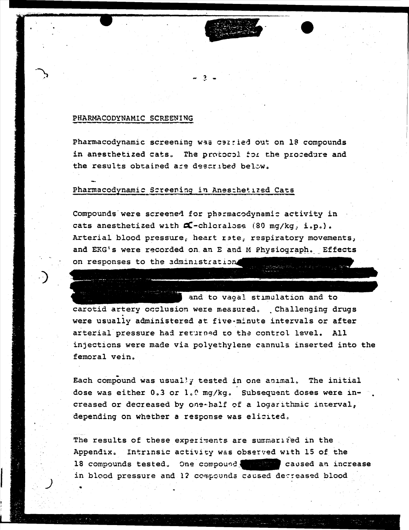## PHARMACODYNAMIC SCREENING

Pharmacodynamic screening was calried out on 18 compounds in anesthetized cats. The protocol for the procedure and the results obtained are described below.

# Pharmacodynamic Screening in Anesthetized Cats

Compounds were screened for pharmacodynamic activity in cats anesthetized with  $\alpha$ -chloralose (80 mg/kg, i.p.). Arterial blood pressure, heart rate, respiratory movements, and EKG's were recorded on an E and M Physiograph. Effects on responses to the administration

and to vagal stimulation and to carotid artery occlusion were measured. Challenging drugs were usually administered at five minute intervals or after arterial pressure had returned to the control level. All injections were made via polyethylene cannuls inserted into the femoral vein.

Each compound was usually tested in one animal. The initial dose was either 0.3 or 1.0 mg/kg. Subsequent doses were increased or decreased by one-half of a logarithmic interval, depending on whether a response was elicited.

The results of these experiments are summarized in the Appendix. Intrinsic activity was observed with 15 of the 18 compounds tested. One compound, we caused an increase in blood pressure and 12 compounds caused decreased blood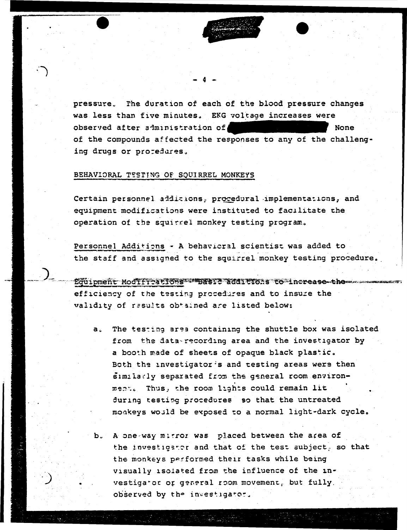pressure. The duration of each of the blood pressure changes was less than five minutes. EKG voltage increases were observed after siministration of None of the compounds affected the responses to any of the challenging drugs or protedures.

# BEHAVIORAL TESTING OF SQUIRREL MONKEYS

Certain personnel additions, procedural implementations, and equipment modifications were instituted to facilitate the operation of the squirrel monkey testing program.

Personnel Additions - A behavioral scientist was added to the staff and assigned to the squirrel monkey testing procedure.

Equipment Modiffrations what additions to increase them efficiency of the testing procedures and to insure the validity of results obtained are listed below:

- The testing area containing the shuttle box was isolated  $a<sub>1</sub>$ from the data-recording area and the investigator by a booth made of sheets of opaque black plastic. Both the investigator's and testing areas were then similarly separated from the general room environment. Thus, the room lights could remain lit during testing procedures so that the untreated moakeys would be exposed to a normal light-dark cycle.
- b. A one-way mitror was placed between the area of the investigator and that of the test subject, so that the monkeys performed their tasks while being visually isolated from the influence of the investigator or general room movement, but fully, observed by the investigator.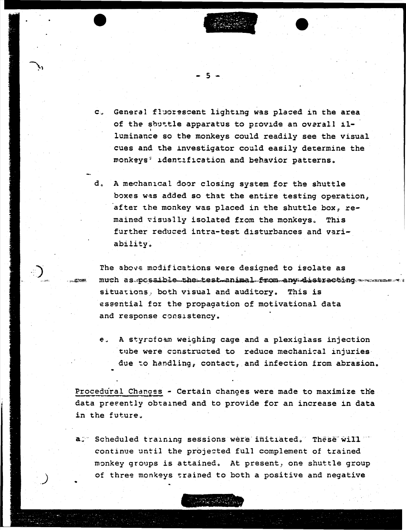c. General fluorescent lighting was placed in the area of the shuttle apparatus to provide an overall illuminance so the monkeys could readily see the visual cues and the investigator could easily determine the monkeys' identification and behavior patterns.

 $5 -$ 

d. A mechanical door closing system for the shuttle boxes was added so that the entire testing operation, after the monkey was placed in the shuttle box, remained visually isolated from the monkeys. This further reduced intra-test disturbances and variability.

The above modifications were designed to isolate as much as possible the test animal from any distracting situations, both visual and auditory. This is essential for the propagation of motivational data and response consistency.

e. A styrofoam weighing cage and a plexiglass injection tube were constructed to reduce mechanical injuries due to handling, contact, and infection from abrasion.

Procedural Changes - Certain changes were made to maximize the data presently obtained and to provide for an increase in data in the future.

a. Scheduled training sessions were initiated. These will continue until the projected full complement of trained monkey groups is attained. At present, one shuttle group of three monkeys trained to both a positive and negative

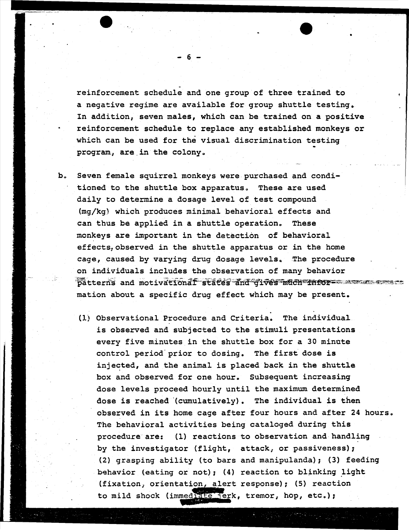reinforcement schedule and one group of three trained to a negative regime are available for group shuttle testing. In addition, seven males, which can be trained on a positive reinforcement schedule to replace any established monkeys or which can be used for the visual discrimination testing<br>program, are in the colony.

•

- b. Seven female squirrel monkeys were purchased and conditioned to the shuttle box apparatus. These are used daily to determine a dosage level of test compound (mg/kg) which produces minimal behavioral effects and can thus be applied in a shuttle operation. These monkeys are important in the detection of behavioral effects, observed in the shuttle apparatus or in the home cage, caused by varying drug dosage levels.. The procedure on individuals includes the observation of many behavior patterns and motivationaf states and gives much infor- assess mation about a specific drug effect which may be present.
	- . (l.) Observational Procedure and Criteria. The individual is observed and subjected to the stimuli presentations every five minutes in the shuttle box for a 30 minute control period-prior to dosing. The first dose is injected, and the animal is placed back in the shuttle box and observed for one hour. Subsequent increasing dose levels proceed hourly until the maximum determined dose is reached '(cumulatively). The individual is then observed in its home cage after four hours and after 24 hours. The behavioral activities being cataloged during this procedure are: (1) reactions to observation and handling by the investigator (flight, attack; or passiveness); (2) grasping ability (to bars and manipulanda); (3) feeding behavior (eating or not); (4) reaction to blinking light (fixation, orientation, alert response); (5) reaction to mild shock (immediate jerk, tremor, hop, etc.);

- 6 -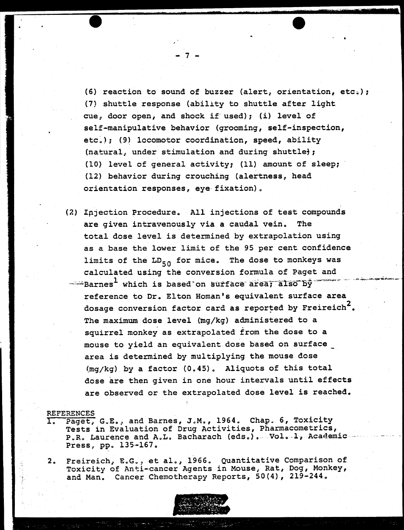(6) reaction to sound of buzzer (alert, orientation, etc.); (7) shuttle response (ability to shuttle after light cue; door open, and shock if. used); (i) level of self-manipulative behavior (grooming, self-inspection, etc.); (9) locomotor coordination, speed, ability (natural, under stimulation and during shuttle); (10) level of general activity; (11) amount of sleep; (12) behavior during crouching (alertness, head orientation responses, eye fixation) a

- 7 -

{2) Ipjection Procedure. All injections of test compounds are given intravenously via a caudal vein. The total dose level is determined by extrapolation using as a base the lower limit of the 95 per cent confidence limits of the  $LD_{50}$  for mice. The dose to monkeys was calculated using the conversion formula of Paget and  $-$ "Barnes<sup>1</sup> which is based on surface area; also by reference to Dr. Elton Homan's equivalent surface area dosage conversion factor card as reported by Freireich<sup>2</sup>. The maximum dose level (mg/kg) administered to a squirrel monkey as extrapolated from the dose to a mouse to yield an equivalent dose based on surface area is determined by multiplying the mouse dose  $(mq/kq)$  by a factor  $(0.45)$ . Aliquots of this total dose are then given in one hour intervals until effects are observed or the extrapolated dose level is reached.

#### REFERENCES

- Paget, G.E., and Barnes, J.M., 1964. Chap. 6, Toxicity Tests in Evaluation of Drug Activities, Pharmacometrics, P .. R .. Laurence and A .. L. Bacharach (edso) •. Vola .1, Aca~emic ····· Press, pp. 135-167.
- 2. Freireich, E.G., et al., 1966. Quantitative Comparison of Toxicity of Anti-cancer Agents in Mouse, Rat, Dog, Monkey, and Man. Cancer Chemotherapy Reports, 50(4), 219-244.

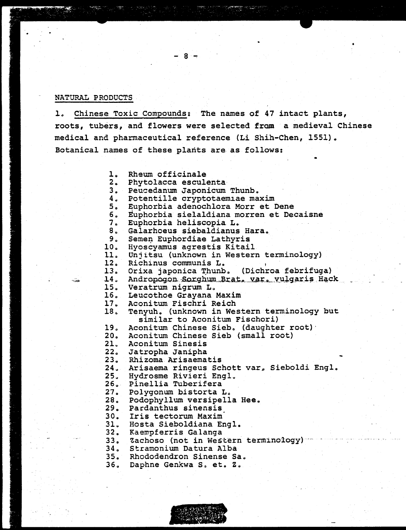#### NATURAL PRODUCTS

Chinese Toxic Compounds: The names of 47 intact plants,  $\mathbf{1}$ roots, tubers, and flowers were selected from a medieval Chinese medical and pharmaceutical reference (Li Shih-Chen, 1551). Botanical names of these plants are as follows:

- $\mathbf{L}$ . Rheum officinale
- $2.$ Phytolacca esculenta
- $3.1$ Peucedanum Japonicum Thunb.

- 8

- 4. Potentille cryptotaemiae maxim
- $5 \cdot$ Euphorbia adenochlora Morr et Dene
- б. Euphorbia sielaldiana morren et Decaisne
- $7.$ Euphorbia heliscopia L.
- $8<sub>o</sub>$ Galarhoeus siebaldianus Hara.
- $9.1$ Semen Euphordiae Lathyris
- $10<sub>1</sub>$ Hyoscyamus agrestis Kitail
- $11.$ Unjitsu (unknown in Western terminology)
- $12<sub>1</sub>$ Richinus communis L.
- $13.$ Orixa japonica Thunb. (Dichroa febrifuga)
- $14.$ Andropogon Sorghum Brat, var, vulgaris Hack
- 15. Veratrum nigrum L.
- $16.$ Leucothoe Grayana Maxim
- $17.$ Aconitum Fischri Reich
- $18<sub>o</sub>$ Tenyuh. (unknown in Western terminology but similar to Aconitum Fischori)
- 19. Aconitum Chinese Sieb. (daughter root)
- Aconitum Chinese Sieb (small root)  $20.$
- $21.$ Aconitum Sinesis
- $22<sub>o</sub>$ Jatropha Janipha
- $23.$ Rhizoma Arisaematis
- 24. Arisaema ringeus Schott var, Sieboldi Engl.
- $25.$ Hydrosme Rivieri Engl.
- $26.$ Pinellia Tuberifera
- $27.$ Polygonum bistorta L.
- $28.$ Podophyllum versipella Hee.
	- 29. Pardanthus sinensis
	- $30<sub>o</sub>$ Iris tectorum Maxim
- $31.$ Hosta Sieboldiana Engl.
- $32.$ Kaempferris Galanga
- $33.$ Zachoso (not in Western terminology) -
	- $34<sub>o</sub>$ Stramonium Datura Alba
- Rhododendron Sinense Sa.  $35.$ 
	- $36.$ Daphne Genkwa S, et. Z.

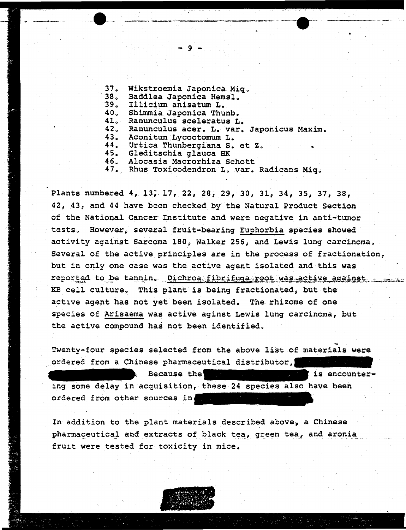$37.$ Wikstroemia Japonica Miq.  $38<sub>o</sub>$ Baddlea Japonica Hemsl. 39. Illicium anisatum L. 40. Shimmia Japonica Thunb.  $41.$ Ranunculus sceleratus L.  $42.$ Ranunculus acer. L. var. Japonicus Maxim.  $43.$ Aconitum Lycoctomum L.  $44.$ Urtica Thunbergiana S. et Z.  $45.$ Gleditschia glauca HK Alocasia Macrorhiza Schott  $46.$ Rhus Toxicodendron L. var. Radicans Miq. 47.

-9

Plants numbered 4, 13, 17, 22, 28, 29, 30, 31, 34, 35, 37, 38, 42, 43, and 44 have been checked by the Natural Product Section of the National Cancer Institute and were negative in anti-tumor tests. However, several fruit-bearing Euphorbia species showed activity against Sarcoma 180, Walker 256, and Lewis lung carcinoma. Several of the active principles are in the process of fractionation, but in only one case was the active agent isolated and this was reported to be tannin. Dichroa fibrifuga root was active against KB cell culture. This plant is being fractionated, but the active agent has not yet been isolated. The rhizome of one species of Arisaema was active aginst Lewis lung carcinoma, but the active compound has not been identified.

Twenty-four species selected from the above list of materials were ordered from a Chinese pharmaceutical distributor,

is encounter-Because the ing some delay in acquisition, these 24 species also have been ordered from other sources in

In addition to the plant materials described above, a Chinese pharmaceutical and extracts of black tea, green tea, and aronia fruit were tested for toxicity in mice.

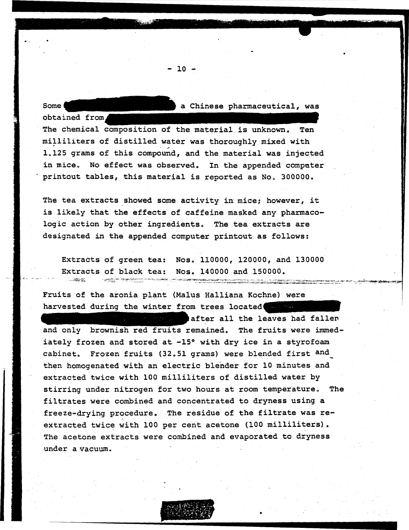Some **a** Chinese pharmaceutical, was

obtained from.

The chemical composition of the material is unknown. Ten milliliters of distilled water was thoroughly mixed with 1.125 grams of this compound, and the material was injected in mice. No effect was observed. In the appended computer printout tables, this material is reported as No. 300000.

- 10 -

The tea extracts showed some activity in mice; however, it is likely that the effects of caffeine masked any pharmacologic action by other ingredients. The tea extracts are designated in the appended computer printout as follows:

Extracts of green tea: Nos. 110000, 120000, and 130000 Extracts of black tea: Nos. 140000 and 150000.  $\sim$  $\label{eq:3} \underbrace{\hspace{2.5cm}}_{\text{max}} \underbrace{\hspace{2.5cm}}_{\text{max}} \text{, } \text{for} \hspace{2.5cm} \text{and} \hspace{2.5cm} \underbrace{\hspace{2.5cm}}_{\text{max}} \underbrace{\hspace{2.5cm}}_{\text{max}} \underbrace{\hspace{2.5cm}}_{\text{max}} \underbrace{\hspace{2.5cm}}_{\text{max}} \underbrace{\hspace{2.5cm}}_{\text{max}} \underbrace{\hspace{2.5cm}}_{\text{max}} \underbrace{\hspace{2.5cm}}_{\text{max}}$ .<br>Protection in the contract content of the content of the content of the content of the content of the content

estavarminis

<u> 1980 - Martin Carl andren bergu</u>e

Fruits of the aronia plant (Malus Halliana Kochne) were harvested during the winter from trees located

after all the leaves had faller and only brownish red fruits remained. The fruits were immediately frozen and stored at -15° with dry ice in a styrofoam cabinet. Frozen fruits (32.51 grams) were blended first and then homogenated with an electric blender for 10 minutes and extracted twice with 100 milliliters of distilled water by stirring under nitrogen for two hours at room temperature. The filtrates were combined and concentrated to dryness using a freeze-drying procedure. The residue of the filtrate was reextracted twice with 100 per cent acetone {100 milliliters) • The acetone extracts were combined and evaporated to dryness under a vacuum.



•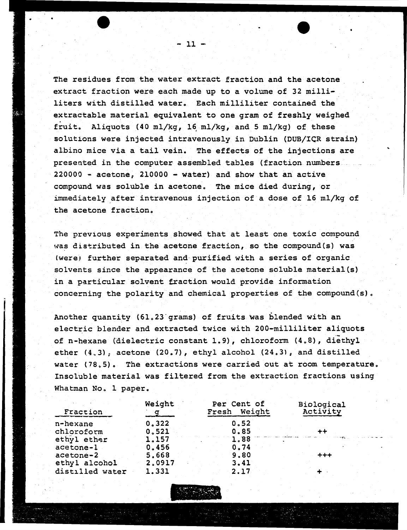The residues from the water extract fraction and the acetone extract fraction were each made up to a volume of 32 milliliters with distilled water. Each milliliter contained the extractable material equivalent to one gram of freshly weighed fruit. Aliquots (40 ml/kg, 16 ml/kg, and 5 ml/kg) of these solutions were injected intravenously in Dublin (DUB/ICR strain) albino mice via a tail vein. The effects of the injections are presented in the computer assembled tables (fraction numbers  $220000 -$  acetone,  $210000 -$  water) and show that an active compound was soluble in acetone. The mice died during, or immediately after intravenous injection of a dose of 16 ml/kg of the acetone fraction.

The previous experiments showed that at least one toxic compound was distributed in the acetone fraction, so the compound(s) was (were) further separated and purified with a series of organic solvents since the appearance of the acetone soluble material(s) in a particular solvent fraction would provide information concerning the polarity and chemical properties of the compound(s).

Another quantity (61.23 grams) of fruits was blended with an electric blender and extracted twice with 200-milliliter aliquots of n-hexane (dielectric constant 1.9), chloroform (4.8), diethyl ether  $(4.3)$ , acetone  $(20.7)$ , ethyl alcohol  $(24.3)$ , and distilled water (78.5). The extractions were carried out at room temperature. Insoluble material was filtered from the extraction fractions using Whatman No. 1 paper.

| Fraction        | Weight | Per Cent of<br>Weight<br>Fresh | Biological<br>Activity |  |  |
|-----------------|--------|--------------------------------|------------------------|--|--|
| n-hexane        | 0.322  | 0.52                           |                        |  |  |
| chloroform      | 0.521  | 0.85                           |                        |  |  |
| ethyl ether     | 1.157  | 1,88                           |                        |  |  |
| acetone-1       | 0.456  | 0.74                           |                        |  |  |
| acetone-2       | 5,668  | 9.80                           | $+ + +$                |  |  |
| ethyl alcohol   | 2,0917 | 3.41                           |                        |  |  |
| distilled water | 1.331  | 2.17                           |                        |  |  |



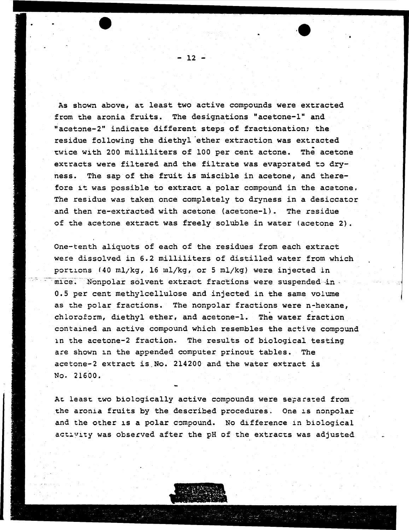As shown above, at least two active compounds were extracted from the aronia fruits. The designations "acetone-1" and "acetone-2" indicate different steps of fractionation; the residue following the diethyl ether extraction was extracted twice with 200 milliliters of 100 per cent actone. The acetone extracts were filtered and the filtrate was evaporated to dryness. The sap of the fruit is miscible in acetone, and therefore it was possible to extract a polar compound in the acetone. The residue was taken once completely to dryness in a desiccator and then re-extracted with acetone (acetone-1). The residue of the acetone extract was freely soluble in water (acetone 2).

One-tenth aliquots of each of the residues from each extract were dissolved in 6.2 milliliters of distilled water from which portions (40 ml/kg, 16 ml/kg, or 5 ml/kg) were injected in  $-$  mice. Nonpolar solvent extract fractions were suspended in -0.5 per cent methylcellulose and injected in the same volume as the polar fractions. The nonpolar fractions were n-hexane, chloroform, diethyl ether, and acetone-1. The water fraction contained an active compound which resembles the active compound 1n the acetone-2 fraction. The results of biological testing are shown in the appended computer prinout tables. The acetone-2 extract is.No. 214200 and the water extract is No. 21600.

At least two biologically active compounds were separated from the aronia fruits by the described procedures. One is nonpolar and the other is a polar compound. No difference in biological activity was observed after the pH of the extracts was adjusted



 $-12 -$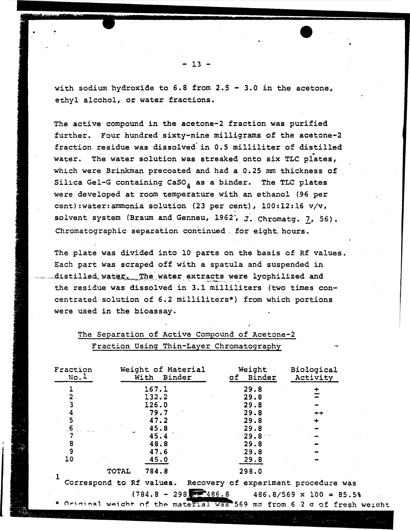with sodium hydroxide to 6.8 from 2.5 - 3.0 in the acetone, ethyl alcohol, or water fractions.

The active compound in the acetone-2 fraction was purified further. Four hundred sixty-nine milligrams of the acetone-2 fraction residue was dissolved in 0.5 milliliter of distilled water. The water solution was streaked onto six TLC plates, which were Brinkman precoated and had a 0.25 mm thickness of Silica Gel-G containing CaSO, as a binder. The TLC plates were developed at room temperature with an ethanol (96 per cent): water: ammonia solution (23 per cent), 100:12:16 v/v, solvent system (Braum and Genneu, 1962), J. Chromatg. 7, 56). Chromatographic separation continued for eight hours.

The plate was divided into 10 parts on the basis of Rf values. Each part was scraped off with a spatula and suspended in distilled water. The water extracts were lyophilized and the residue was dissolved in 3.1 milliliters (two times concentrated solution of 6.2 milliliters\*) from which portions were used in the bioassay.

| Fraction<br>No.1 |              | Weight of Material<br>With Binder |  | Weight<br>of Binder  | Biological<br>Activity |       |  |
|------------------|--------------|-----------------------------------|--|----------------------|------------------------|-------|--|
|                  |              | 167.1<br>132.2<br>126.0           |  | 29.8<br>29.8<br>29.8 |                        |       |  |
|                  |              | 79.7<br>47.2<br>45.8              |  | 29.8<br>29.8<br>29.8 |                        | $+ +$ |  |
| 8<br>9<br>10     |              | 45.4<br>48.8<br>47.6              |  | 29.8<br>29.8<br>29.8 |                        |       |  |
| - 1              | <b>TOTAL</b> | 45.0<br>784.8                     |  | 29.8<br>298.0        |                        |       |  |

# The Separation of Active Compound of Acetone-2 Fraction Using Thin-Layer Chromatography

 $-13 -$